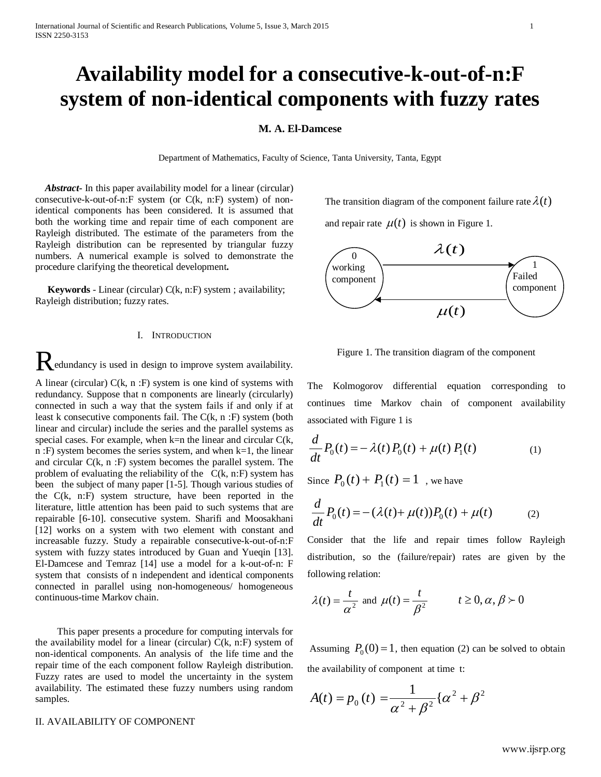# **Availability model for a consecutive-k-out-of-n:F system of non-identical components with fuzzy rates**

## **M. A. El-Damcese**

Department of Mathematics, Faculty of Science, Tanta University, Tanta, Egypt

 *Abstract***-** In this paper availability model for a linear (circular) consecutive-k-out-of-n:F system (or C(k, n:F) system) of nonidentical components has been considered. It is assumed that both the working time and repair time of each component are Rayleigh distributed. The estimate of the parameters from the Rayleigh distribution can be represented by triangular fuzzy numbers. A numerical example is solved to demonstrate the procedure clarifying the theoretical development**.**

 **Keywords** - Linear (circular) C(k, n:F) system ; availability; Rayleigh distribution; fuzzy rates.

### I. INTRODUCTION

Redundancy is used in design to improve system availability.

A linear (circular)  $C(k, n : F)$  system is one kind of systems with redundancy. Suppose that n components are linearly (circularly) connected in such a way that the system fails if and only if at least k consecutive components fail. The C(k, n :F) system (both linear and circular) include the series and the parallel systems as special cases. For example, when  $k=n$  the linear and circular  $C(k,$ n :F) system becomes the series system, and when  $k=1$ , the linear and circular C(k, n :F) system becomes the parallel system. The problem of evaluating the reliability of the  $C(k, n):$  system has been the subject of many paper [1-5]. Though various studies of the C(k, n:F) system structure, have been reported in the literature, little attention has been paid to such systems that are repairable [6-10]. consecutive system. Sharifi and Moosakhani [12] works on a system with two element with constant and increasable fuzzy. Study a repairable consecutive-k-out-of-n:F system with fuzzy states introduced by Guan and Yueqin [13]. El-Damcese and Temraz [14] use a model for a k-out-of-n: F system that consists of n independent and identical components connected in parallel using non-homogeneous/ homogeneous continuous-time Markov chain.

 This paper presents a procedure for computing intervals for the availability model for a linear (circular)  $C(k, n: F)$  system of non-identical components. An analysis of the life time and the repair time of the each component follow Rayleigh distribution. Fuzzy rates are used to model the uncertainty in the system availability. The estimated these fuzzy numbers using random samples.

#### II. AVAILABILITY OF COMPONENT

The transition diagram of the component failure rate  $\lambda(t)$ 

and repair rate  $\mu(t)$  is shown in Figure 1.



Figure 1. The transition diagram of the component

The Kolmogorov differential equation corresponding to continues time Markov chain of component availability associated with Figure 1 is

$$
\frac{d}{dt}P_0(t) = -\lambda(t)P_0(t) + \mu(t)P_1(t)
$$
\n(1)

Since  $P_0(t) + P_1(t) = 1$ , we have

$$
\frac{d}{dt}P_0(t) = -(\lambda(t) + \mu(t))P_0(t) + \mu(t) \tag{2}
$$

Consider that the life and repair times follow Rayleigh distribution, so the (failure/repair) rates are given by the following relation:

$$
\lambda(t) = \frac{t}{\alpha^2}
$$
 and  $\mu(t) = \frac{t}{\beta^2}$   $t \ge 0, \alpha, \beta > 0$ 

Assuming  $P_0(0) = 1$ , then equation (2) can be solved to obtain the availability of component at time t:

$$
A(t) = p_0(t) = \frac{1}{\alpha^2 + \beta^2} \{ \alpha^2 + \beta^2
$$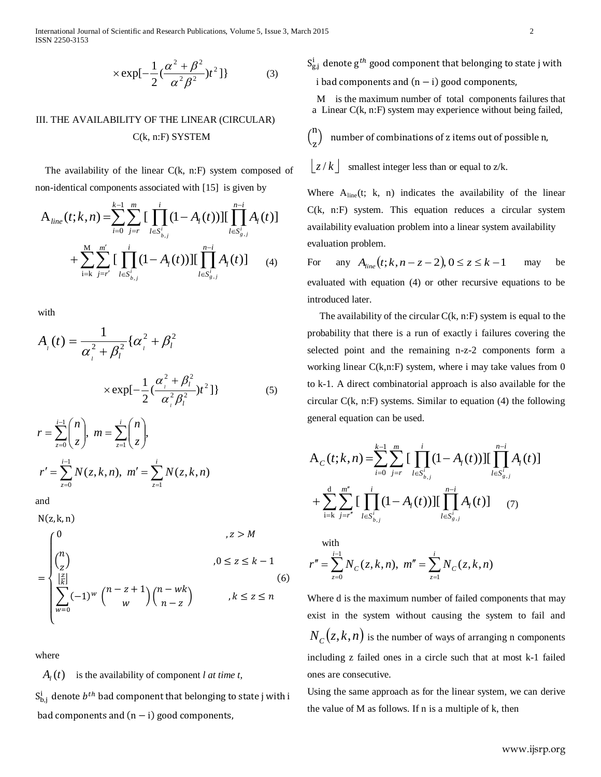International Journal of Scientific and Research Publications, Volume 5, Issue 3, March 2015 2 ISSN 2250-3153

$$
\times \exp[-\frac{1}{2}(\frac{\alpha^2 + \beta^2}{\alpha^2 \beta^2})t^2]\}
$$
 (3)

# III. THE AVAILABILITY OF THE LINEAR (CIRCULAR) C(k, n:F) SYSTEM

 The availability of the linear C(k, n:F) system composed of non-identical components associated with [15] is given by

$$
A_{line}(t;k,n) = \sum_{i=0}^{k-1} \sum_{j=r}^{m} \left[ \prod_{l \in S_{b,j}^{i}}^{i} (1 - A_{l}(t)) \right] \left[ \prod_{l \in S_{g,j}^{i}}^{n-i} A_{l}(t) \right]
$$
  
+ 
$$
\sum_{i=k}^{M} \sum_{j=r'}^{m'} \left[ \prod_{l \in S_{b,j}^{i}}^{i} (1 - A_{l}(t)) \right] \left[ \prod_{l \in S_{g,j}^{i}}^{n-i} A_{l}(t) \right]
$$
 (4)

with

$$
A_{i}(t) = \frac{1}{\alpha_{i}^{2} + \beta_{l}^{2}} {\{\alpha_{i}^{2} + \beta_{l}^{2}\}\n\times \exp[-\frac{1}{2} (\frac{\alpha_{i}^{2} + \beta_{l}^{2}}{\alpha_{i}^{2} \beta_{l}^{2}})t^{2}]\n}
$$
\n
$$
r = \sum_{z=0}^{i-1} {n \choose z}, \ m = \sum_{z=1}^{i} {n \choose z},
$$
\n
$$
r' = \sum_{z=0}^{i-1} N(z, k, n), \ m' = \sum_{z=1}^{i} N(z, k, n)
$$

1 *z*

and

0 *z* =

 $N(z, k, n)$ =  $\overline{\phantom{a}}$  $\Big\}$  $\overline{a}$  $\Big\}$  $\int_0^0$ ,  $z > M$  $\binom{n}{z}$  $\begin{aligned} \mathbf{z} & 0 \le z \le k - 1 \end{aligned}$  $\sum_{w=0}^{\infty} (-1)^w \binom{n-z+1}{w} \binom{n-wk}{n-z}$  $\left[\frac{z}{k}\right]$  $w=0$ ,  $k \leq z \leq n$ (6)

where

 $A_i(t)$  is the availability of component *l at time t*,

 $S^1_{\text{b},\text{j}}$  denote  $b^{\textit{th}}$  bad component that belonging to state j with i bad components and  $(n - i)$  good components,

 $S^{\scriptscriptstyle{1}}_{\!\!g,j}$  denote  $g^{th}$  good component that belonging to state j with i bad components and  $(n - i)$  good components,

M is the maximum number of total components failures that a Linear C(k, n:F) system may experience without being failed,

 $\binom{n}{n}$ z number of combinations of z items out of possible n,

 $|z/k|$  smallest integer less than or equal to  $z/k$ .

Where  $A_{\text{line}}(t; k, n)$  indicates the availability of the linear C(k, n:F) system. This equation reduces a circular system availability evaluation problem into a linear system availability evaluation problem.

For any  $A_{line}(t; k, n-z-2)$ ,  $0 \le z \le k-1$  may be evaluated with equation (4) or other recursive equations to be introduced later.

The availability of the circular  $C(k, n):$  system is equal to the probability that there is a run of exactly i failures covering the selected point and the remaining n-z-2 components form a working linear C(k,n:F) system, where i may take values from 0 to k-1. A direct combinatorial approach is also available for the circular C(k, n:F) systems. Similar to equation (4) the following general equation can be used.

$$
A_C(t;k,n) = \sum_{i=0}^{k-1} \sum_{j=r}^{m} \left[ \prod_{l \in S_{b,j}^i} (1 - A_l(t)) \right] \left[ \prod_{l \in S_{g,j}^i}^{n-i} A_l(t) \right]
$$
  
+ 
$$
\sum_{i=k}^{d} \sum_{j=r''}^{m''} \left[ \prod_{l \in S_{b,j}^i} (1 - A_l(t)) \right] \left[ \prod_{l \in S_{g,j}^i}^{n-i} A_l(t) \right] \qquad (7)
$$

with  

$$
r'' = \sum_{z=0}^{i-1} N_C(z, k, n), \ m'' = \sum_{z=1}^{i} N_C(z, k, n)
$$

Where d is the maximum number of failed components that may exist in the system without causing the system to fail and  $N_c(z, k, n)$  is the number of ways of arranging n components including z failed ones in a circle such that at most k-1 failed ones are consecutive.

Using the same approach as for the linear system, we can derive the value of M as follows. If n is a multiple of k, then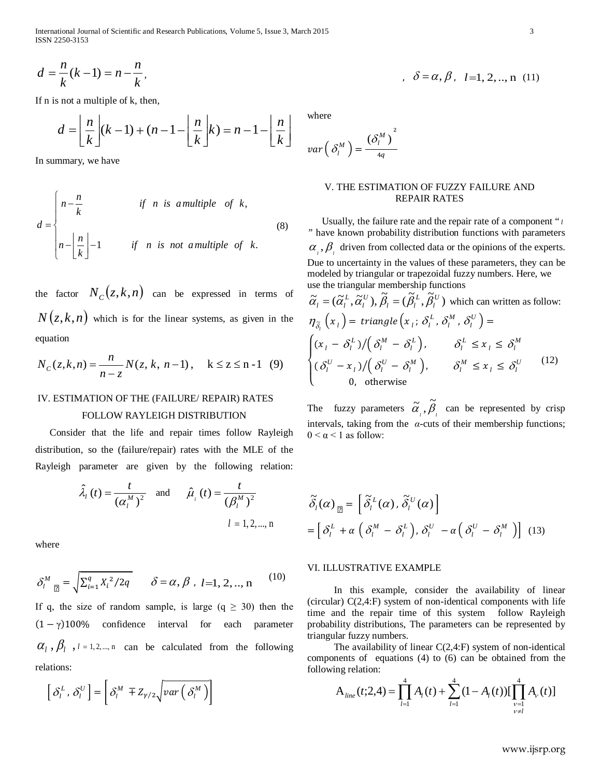International Journal of Scientific and Research Publications, Volume 5, Issue 3, March 2015 3 ISSN 2250-3153

$$
d = \frac{n}{k}(k-1) = n - \frac{n}{k},
$$

If n is not a multiple of k, then,

$$
d = \left\lfloor \frac{n}{k} \right\rfloor (k-1) + (n-1) - \left\lfloor \frac{n}{k} \right\rfloor k = n-1 - \left\lfloor \frac{n}{k} \right\rfloor
$$

In summary, we have

$$
d = \begin{cases} n - \frac{n}{k} & \text{if } n \text{ is a multiple of } k, \\ n - \left\lfloor \frac{n}{k} \right\rfloor - 1 & \text{if } n \text{ is not a multiple of } k. \end{cases}
$$
 (8)

the factor  $N_c(z, k, n)$  can be expressed in terms of  $N(z, k, n)$  which is for the linear systems, as given in the equation

$$
N_C(z, k, n) = \frac{n}{n - z} N(z, k, n - 1), \quad k \le z \le n - 1 \tag{9}
$$

#### IV. ESTIMATION OF THE (FAILURE/ REPAIR) RATES

#### FOLLOW RAYLEIGH DISTRIBUTION

 Consider that the life and repair times follow Rayleigh distribution, so the (failure/repair) rates with the MLE of the Rayleigh parameter are given by the following relation:

$$
\hat{\lambda}_{l}(t) = \frac{t}{(\alpha_{l}^{M})^{2}}
$$
 and  $\hat{\mu}_{l}(t) = \frac{t}{(\beta_{l}^{M})^{2}}$   
\n $l = 1, 2, ..., n$ 

where

$$
\delta_l^M \mathbf{r} = \sqrt{\sum_{i=1}^q X_i^2 / 2q} \qquad \delta = \alpha, \beta \, , \, l = 1, 2, ..., n \tag{10}
$$

If q, the size of random sample, is large  $(q \geq 30)$  then the  $(1 - \gamma)100\%$  confidence interval for each parameter  $\alpha_l$ ,  $\beta_l$ ,  $l = 1, 2, ..., n$  can be calculated from the following relations:

$$
\left[\delta_l^L, \delta_l^U\right] = \left[\delta_l^M \mp Z_{\gamma/2} \sqrt{var\left(\delta_l^M\right)}\right]
$$

$$
\delta = \alpha, \beta, l=1, 2, ..., n
$$
 (11)

where

$$
var\left(\delta_l^M\right)=\frac{(\delta_l^M)}{4q}
$$

#### V. THE ESTIMATION OF FUZZY FAILURE AND REPAIR RATES

 Usually, the failure rate and the repair rate of a component " *<sup>l</sup> "* have known probability distribution functions with parameters  $\alpha_{i}$ ,  $\beta_{i}$  driven from collected data or the opinions of the experts. Due to uncertainty in the values of these parameters, they can be modeled by triangular or trapezoidal fuzzy numbers. Here, we use the triangular membership functions

$$
\tilde{\alpha}_{l} = (\tilde{\alpha}_{l}^{L}, \tilde{\alpha}_{l}^{U}), \tilde{\beta}_{l} = (\tilde{\beta}_{l}^{L}, \tilde{\beta}_{l}^{U}) \text{ which can written as follow:}
$$
\n
$$
\eta_{\tilde{\delta}_{l}}(x_{l}) = \text{triangle}\left(x_{l}; \delta_{l}^{L}, \delta_{l}^{M}, \delta_{l}^{U}\right) =
$$
\n
$$
\begin{cases}\n(x_{l} - \delta_{l}^{L}) / (\delta_{l}^{M} - \delta_{l}^{L}), & \delta_{l}^{L} \leq x_{l} \leq \delta_{l}^{M} \\
(\delta_{l}^{U} - x_{l}) / (\delta_{l}^{U} - \delta_{l}^{M}), & \delta_{l}^{M} \leq x_{l} \leq \delta_{l}^{U}\n\end{cases} \tag{12}
$$
\n0, otherwise

The fuzzy parameters  $\tilde{\alpha}_i$ ,  $\beta_i$  $\tilde{\alpha}, \tilde{\beta}$  can be represented by crisp intervals, taking from the *α*-cuts of their membership functions;  $0 \leq \alpha \leq 1$  as follow:

$$
\begin{aligned}\n\widetilde{\delta}_{l}(\alpha)_{\mathfrak{A}} &= \left[ \widetilde{\delta}_{l}^{L}(\alpha), \widetilde{\delta}_{l}^{U}(\alpha) \right] \\
&= \left[ \delta_{l}^{L} + \alpha \left( \delta_{l}^{M} - \delta_{l}^{L} \right), \delta_{l}^{U} - \alpha \left( \delta_{l}^{U} - \delta_{l}^{M} \right) \right] \end{aligned}
$$
\n(13)

#### VI. ILLUSTRATIVE EXAMPLE

In this example, consider the availability of linear (circular) C(2,4:F) system of non-identical components with life time and the repair time of this system follow Rayleigh probability distributions, The parameters can be represented by triangular fuzzy numbers.

The availability of linear C(2,4:F) system of non-identical components of equations (4) to (6) can be obtained from the following relation:

$$
A_{\text{line}}(t;2,4) = \prod_{l=1}^{4} A_{l}(t) + \sum_{l=1}^{4} (1 - A_{l}(t)) [\prod_{\substack{\nu=1\\ \nu \neq l}}^{4} A_{\nu}(t)]
$$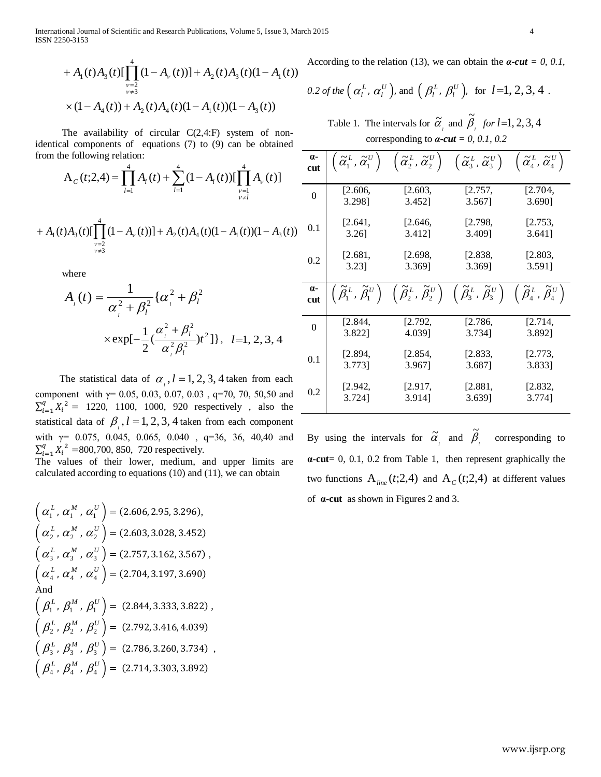International Journal of Scientific and Research Publications, Volume 5, Issue 3, March 2015 4 ISSN 2250-3153

$$
+ A_1(t)A_3(t)[\prod_{\substack{\nu=2 \ \nu \neq 3}}^{4} (1 - A_\nu(t))] + A_2(t)A_3(t)(1 - A_1(t))
$$
  
 
$$
\times (1 - A_4(t)) + A_2(t)A_4(t)(1 - A_1(t))(1 - A_3(t))
$$

The availability of circular  $C(2,4)$ : system of nonidentical components of equations (7) to (9) can be obtained from the following relation:

$$
A_C(t;2,4) = \prod_{l=1}^4 A_l(t) + \sum_{l=1}^4 (1 - A_l(t)) [\prod_{\substack{\nu=1 \\ \nu \neq l}}^4 A_\nu(t)]
$$
  
+ 
$$
A_1(t)A_3(t)[\prod_{\substack{\nu=2 \\ \nu \neq 3}}^4 (1 - A_\nu(t))] + A_2(t)A_4(t)(1 - A_1(t))(1 - A_3(t))
$$

where

$$
A_{i}(t) = \frac{1}{\alpha_{i}^{2} + \beta_{i}^{2}} \{ \alpha_{i}^{2} + \beta_{i}^{2}
$$
  
 
$$
\times \exp[-\frac{1}{2}(\frac{\alpha_{i}^{2} + \beta_{i}^{2}}{\alpha_{i}^{2} \beta_{i}^{2}})t^{2}]\}, \quad l=1, 2, 3, 4
$$

The statistical data of  $\alpha$ ,  $l = 1, 2, 3, 4$  taken from each component with  $\gamma$ = 0.05, 0.03, 0.07, 0.03, q=70, 70, 50,50 and  $\sum_{i=1}^{q} X_i^2 = 1220, 1100, 1000, 920$  respectively, also the statistical data of  $\beta$ ,  $l = 1, 2, 3, 4$  taken from each component with  $\gamma$ = 0.075, 0.045, 0.065, 0.040, q=36, 36, 40,40 and  $\sum_{i=1}^{q} X_i^2$  = 800,700, 850, 720 respectively.

The values of their lower, medium, and upper limits are calculated according to equations (10) and (11), we can obtain

 $\left( \alpha_1^L, \alpha_1^M, \alpha_1^U \right) = (2.606, 2.95, 3.296),$  $\left(\,\alpha_{2}^{\,L} \,,\,\alpha_{2}^{\,M} \,,\,\alpha_{2}^{\,U}\,\right)= (2.603, 3.028, 3.452)$  $\left(\alpha_3^L, \alpha_3^M, \alpha_3^U\right)$  = (2.757, 3.162, 3.567),  $\left(\alpha_4^L, \alpha_4^M, \alpha_4^U\right)$  = (2.704, 3.197, 3.690) And  $\left(\,\beta_1^{\,L} ,\,\beta_1^{\,M} \,,\,\beta_1^{\,U}\,\right)=\,(2.844, 3.333, 3.822) \ ,$  $\left(\beta_2^L, \beta_2^M, \beta_2^U\right)$  = (2.792, 3.416, 4.039)  $\left(\beta_3^L, \beta_3^M, \beta_3^U\right) = (2.786, 3.260, 3.734)$ ,  $\left(\beta_4^L, \beta_4^M, \beta_4^U\right) = (2.714, 3.303, 3.892)$ 

According to the relation (13), we can obtain the *α-cut = 0, 0.1,* 

0.2 of the 
$$
(\alpha_l^L, \alpha_l^U)
$$
, and  $(\beta_l^L, \beta_l^U)$ , for  $l=1, 2, 3, 4$ .

Table 1. The intervals for  $\tilde{\alpha}_i$  and  $\tilde{\beta}_i$  *for l*=1, 2, 3, 4 corresponding to  $\boldsymbol{\alpha}$ -cut = 0, 0.1, 0.2

| $\alpha$ -<br>cut |         |                                                                                                                                                                                                                                                                                                                                                                                  | $\left(\,\widetilde{\alpha}_1^{\,L}\,,\widetilde{\alpha}_1^{\,U}\,\right)\,\,\,\,\left(\,\widetilde{\alpha}_2^{\,L}\,,\widetilde{\alpha}_2^{\,U}\,\right)\,\,\,\,\left(\,\widetilde{\alpha}_3^{\,L}\,,\widetilde{\alpha}_3^{\,U}\,\right)\,\,\,\,\left(\,\widetilde{\alpha}_4^{\,L}\,,\widetilde{\alpha}_4^{\,U}\,\right)$ |         |
|-------------------|---------|----------------------------------------------------------------------------------------------------------------------------------------------------------------------------------------------------------------------------------------------------------------------------------------------------------------------------------------------------------------------------------|----------------------------------------------------------------------------------------------------------------------------------------------------------------------------------------------------------------------------------------------------------------------------------------------------------------------------|---------|
| 0                 | [2.606, | [2.603,                                                                                                                                                                                                                                                                                                                                                                          | [2.757,                                                                                                                                                                                                                                                                                                                    | [2.704, |
|                   | 3.2981  | 3.452]                                                                                                                                                                                                                                                                                                                                                                           | 3.5671                                                                                                                                                                                                                                                                                                                     | 3.690]  |
| 0.1               | [2.641] | [2.646,                                                                                                                                                                                                                                                                                                                                                                          | [2.798,                                                                                                                                                                                                                                                                                                                    | [2.753, |
|                   | 3.26]   | 3.412]                                                                                                                                                                                                                                                                                                                                                                           | 3.409]                                                                                                                                                                                                                                                                                                                     | 3.641]  |
| 0.2               | [2.681, | [2.698,                                                                                                                                                                                                                                                                                                                                                                          | [2.838,                                                                                                                                                                                                                                                                                                                    | [2.803, |
|                   | 3.231   | 3.369]                                                                                                                                                                                                                                                                                                                                                                           | 3.369]                                                                                                                                                                                                                                                                                                                     | 3.591]  |
|                   |         |                                                                                                                                                                                                                                                                                                                                                                                  |                                                                                                                                                                                                                                                                                                                            |         |
| $\alpha$ -<br>cut |         | $\begin{pmatrix} \widetilde{\beta}_1^{\,L} \,,\, \widetilde{\beta}_1^{\,U} \end{pmatrix} \;\; \begin{pmatrix} \widetilde{\beta}_2^{\,L} \,,\, \widetilde{\beta}_2^{\,U} \end{pmatrix} \;\; \begin{pmatrix} \widetilde{\beta}_3^{\,L} \,,\, \widetilde{\beta}_3^{\,U} \end{pmatrix} \;\; \begin{pmatrix} \widetilde{\beta}_4^{\,L} \,,\, \widetilde{\beta}_4^{\,U} \end{pmatrix}$ |                                                                                                                                                                                                                                                                                                                            |         |
| 0                 | [2.844] | [2.792,                                                                                                                                                                                                                                                                                                                                                                          | [2.786,                                                                                                                                                                                                                                                                                                                    | [2.714, |
|                   | 3.8221  | 4.0391                                                                                                                                                                                                                                                                                                                                                                           | 3.7341                                                                                                                                                                                                                                                                                                                     | 3.8921  |
| 0.1               | [2.894, | [2.854,                                                                                                                                                                                                                                                                                                                                                                          | [2.833,                                                                                                                                                                                                                                                                                                                    | [2.773, |
|                   | 3.773]  | 3.9671                                                                                                                                                                                                                                                                                                                                                                           | 3.6871                                                                                                                                                                                                                                                                                                                     | 3.8331  |

By using the intervals for  $\tilde{\alpha}_i$  and  $\tilde{\beta}_i$ corresponding to **α-cut**= 0, 0.1, 0.2 from Table 1, then represent graphically the two functions  $A_{\text{line}}(t;2,4)$  and  $A_{\text{c}}(t;2,4)$  at different values of **α-cut** as shown in Figures 2 and 3.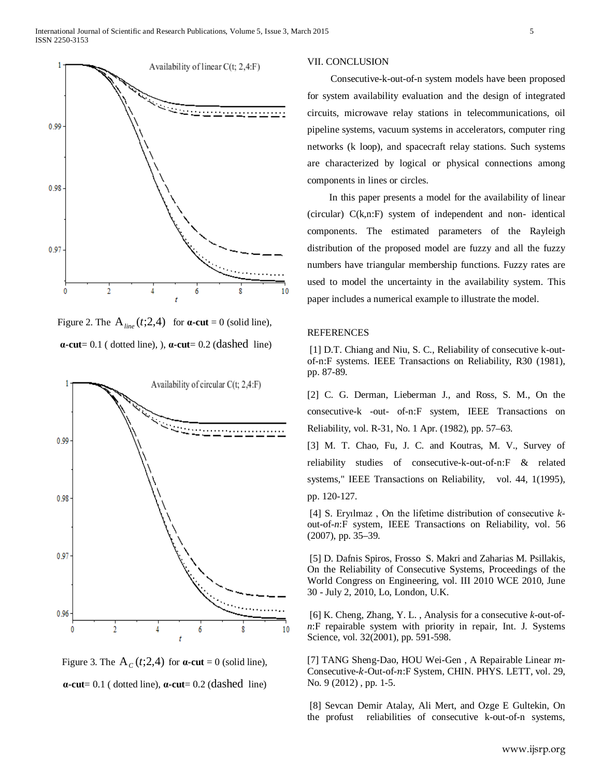

Figure 2. The  $A_{line}(t;2,4)$  for  $\alpha$ -cut = 0 (solid line), **α-cut**= 0.1 ( dotted line), ), **α-cut**= 0.2 (dashed line)





#### VII. CONCLUSION

 Consecutive-k-out-of-n system models have been proposed for system availability evaluation and the design of integrated circuits, microwave relay stations in telecommunications, oil pipeline systems, vacuum systems in accelerators, computer ring networks (k loop), and spacecraft relay stations. Such systems are characterized by logical or physical connections among components in lines or circles.

 In this paper presents a model for the availability of linear (circular) C(k,n:F) system of independent and non- identical components. The estimated parameters of the Rayleigh distribution of the proposed model are fuzzy and all the fuzzy numbers have triangular membership functions. Fuzzy rates are used to model the uncertainty in the availability system. This paper includes a numerical example to illustrate the model.

#### REFERENCES

[1] D.T. Chiang and Niu, S. C., Reliability of consecutive k-outof-n:F systems. IEEE Transactions on Reliability, R30 (1981), pp. 87-89.

[2] C. G. Derman, Lieberman J., and Ross, S. M., On the consecutive-k -out- of-n:F system, IEEE Transactions on Reliability, vol. R-31, No. 1 Apr. (1982), pp. 57–63.

[3] M. T. Chao, Fu, J. C. and Koutras, M. V., Survey of reliability studies of consecutive-k-out-of-n:F & related systems," IEEE Transactions on Reliability, vol. 44, 1(1995), pp. 120-127.

[4] S. Eryılmaz , On the lifetime distribution of consecutive *k*out-of-*n*:F system, IEEE Transactions on Reliability, vol. 56 (2007), pp. 35–39.

[5] D. Dafnis Spiros, Frosso S. Makri and Zaharias M. Psillakis, On the Reliability of Consecutive Systems, Proceedings of the World Congress on Engineering, vol. III 2010 WCE 2010, June 30 - July 2, 2010, Lo, London, U.K.

[6] K. Cheng, Zhang, Y. L. , Analysis for a consecutive *k*-out-of*n*:F repairable system with priority in repair, Int. J. Systems Science, vol. 32(2001), pp. 591-598.

[7] TANG Sheng-Dao, HOU Wei-Gen, A Repairable Linear  $m$ -Consecutive-k-Out-of-n:F System, CHIN. PHYS. LETT, vol. 29, No. 9 (2012) , pp. 1-5.

[8] Sevcan Demir Atalay, Ali Mert, and Ozge E Gultekin, On the profust reliabilities of consecutive k-out-of-n systems,